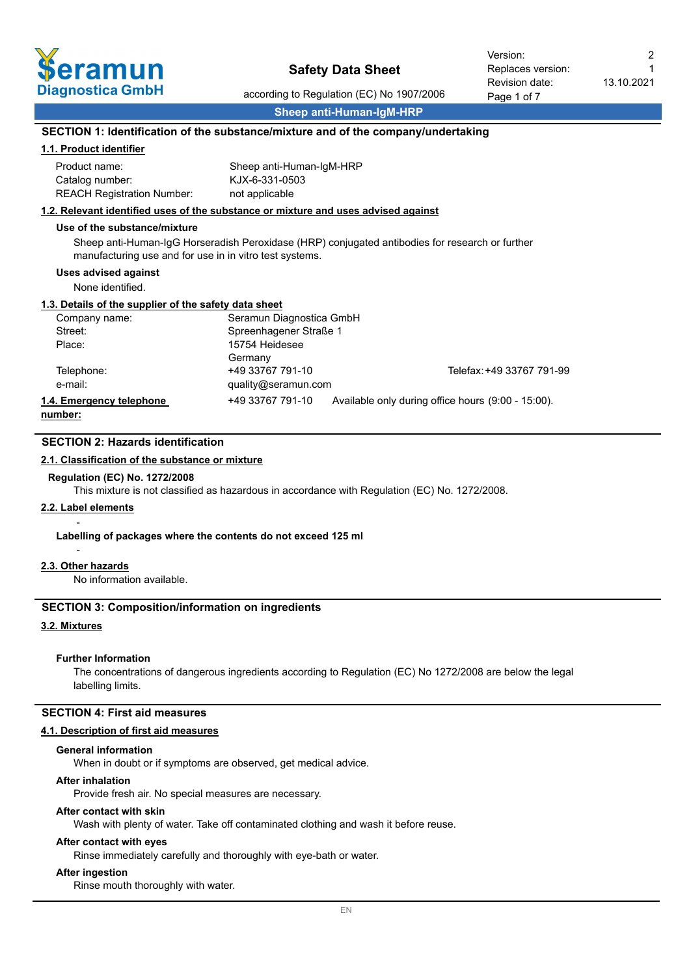

according to Regulation (EC) No 1907/2006 **Sheep anti-Human-IgM-HRP**

1

# **SECTION 1: Identification of the substance/mixture and of the company/undertaking**

### **1.1. Product identifier**

| Product name:                     | Sheep anti-Human-IgM-HRP |
|-----------------------------------|--------------------------|
| Catalog number:                   | KJX-6-331-0503           |
| <b>REACH Registration Number:</b> | not applicable           |

#### **1.2. Relevant identified uses of the substance or mixture and uses advised against**

#### **Use of the substance/mixture**

Sheep anti-Human-IgG Horseradish Peroxidase (HRP) conjugated antibodies for research or further manufacturing use and for use in in vitro test systems.

### **Uses advised against**

None identified.

#### **1.3. Details of the supplier of the safety data sheet**

| Company name:            | Seramun Diagnostica GmbH |                                                    |
|--------------------------|--------------------------|----------------------------------------------------|
| Street:                  | Spreenhagener Straße 1   |                                                    |
| Place:                   | 15754 Heidesee           |                                                    |
|                          | Germany                  |                                                    |
| Telephone:               | +49 33767 791-10         | Telefax: +49 33767 791-99                          |
| e-mail:                  | quality@seramun.com      |                                                    |
| 1.4. Emergency telephone | +49 33767 791-10         | Available only during office hours (9:00 - 15:00). |
| .                        |                          |                                                    |

**number:**

# **SECTION 2: Hazards identification**

## **2.1. Classification of the substance or mixture**

#### **Regulation (EC) No. 1272/2008**

This mixture is not classified as hazardous in accordance with Regulation (EC) No. 1272/2008.

# **2.2. Label elements**

-

#### **Labelling of packages where the contents do not exceed 125 ml**

# - **2.3. Other hazards**

No information available.

# **SECTION 3: Composition/information on ingredients**

## **3.2. Mixtures**

#### **Further Information**

The concentrations of dangerous ingredients according to Regulation (EC) No 1272/2008 are below the legal labelling limits.

#### **SECTION 4: First aid measures**

#### **4.1. Description of first aid measures**

#### **General information**

When in doubt or if symptoms are observed, get medical advice.

#### **After inhalation**

Provide fresh air. No special measures are necessary.

#### **After contact with skin**

Wash with plenty of water. Take off contaminated clothing and wash it before reuse.

# **After contact with eyes**

Rinse immediately carefully and thoroughly with eye-bath or water.

## **After ingestion**

Rinse mouth thoroughly with water.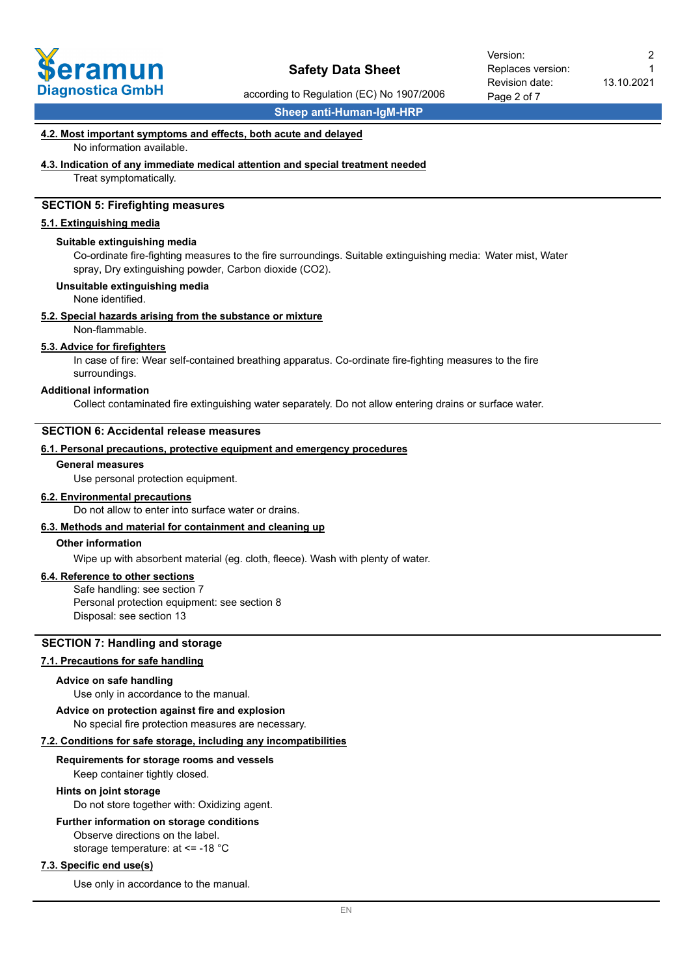

according to Regulation (EC) No 1907/2006

**Sheep anti-Human-IgM-HRP**

#### **4.2. Most important symptoms and effects, both acute and delayed**

No information available.

#### **4.3. Indication of any immediate medical attention and special treatment needed**

Treat symptomatically.

# **SECTION 5: Firefighting measures**

#### **5.1. Extinguishing media**

#### **Suitable extinguishing media**

Co-ordinate fire-fighting measures to the fire surroundings. Suitable extinguishing media: Water mist, Water spray, Dry extinguishing powder, Carbon dioxide (CO2).

#### **Unsuitable extinguishing media**

None identified.

#### **5.2. Special hazards arising from the substance or mixture**

Non-flammable.

#### **5.3. Advice for firefighters**

In case of fire: Wear self-contained breathing apparatus. Co-ordinate fire-fighting measures to the fire surroundings.

#### **Additional information**

Collect contaminated fire extinguishing water separately. Do not allow entering drains or surface water.

### **SECTION 6: Accidental release measures**

#### **6.1. Personal precautions, protective equipment and emergency procedures**

#### **General measures**

Use personal protection equipment.

### **6.2. Environmental precautions**

Do not allow to enter into surface water or drains.

# **6.3. Methods and material for containment and cleaning up**

## **Other information**

Wipe up with absorbent material (eg. cloth, fleece). Wash with plenty of water.

## **6.4. Reference to other sections**

Safe handling: see section 7 Personal protection equipment: see section 8 Disposal: see section 13

# **SECTION 7: Handling and storage**

# **7.1. Precautions for safe handling**

#### **Advice on safe handling**

Use only in accordance to the manual.

#### **Advice on protection against fire and explosion**

No special fire protection measures are necessary.

#### **7.2. Conditions for safe storage, including any incompatibilities**

#### **Requirements for storage rooms and vessels**

Keep container tightly closed.

#### **Hints on joint storage**

Do not store together with: Oxidizing agent.

#### **Further information on storage conditions**

Observe directions on the label. storage temperature: at <= -18 °C

#### **7.3. Specific end use(s)**

Use only in accordance to the manual.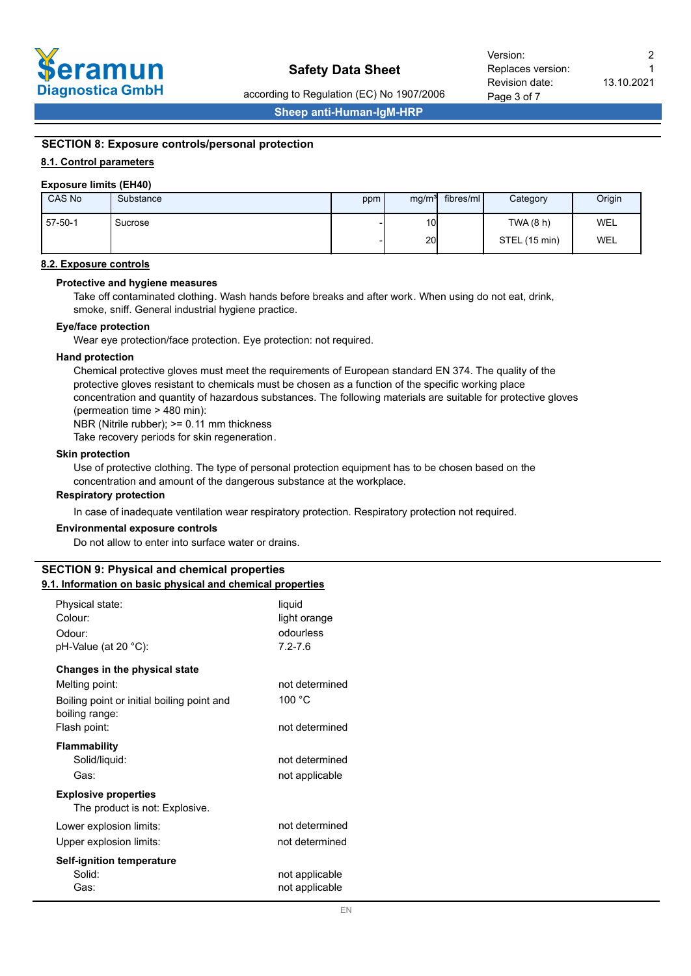

Page 3 of 7 Revision date: Replaces version: Version: 2

according to Regulation (EC) No 1907/2006

**Sheep anti-Human-IgM-HRP**

# **SECTION 8: Exposure controls/personal protection**

## **8.1. Control parameters**

#### **Exposure limits (EH40)**

| CAS No  | Substance | ppm | mg/m <sup>3</sup> | fibres/ml | Category      | Origin     |
|---------|-----------|-----|-------------------|-----------|---------------|------------|
| 57-50-1 | Sucrose   |     | 10 <sub>l</sub>   |           | TWA (8 h)     | <b>WEL</b> |
|         |           |     | 20                |           | STEL (15 min) | <b>WEL</b> |

### **8.2. Exposure controls**

#### **Protective and hygiene measures**

Take off contaminated clothing. Wash hands before breaks and after work. When using do not eat, drink, smoke, sniff. General industrial hygiene practice.

#### **Eye/face protection**

Wear eye protection/face protection. Eye protection: not required.

#### **Hand protection**

Chemical protective gloves must meet the requirements of European standard EN 374. The quality of the protective gloves resistant to chemicals must be chosen as a function of the specific working place concentration and quantity of hazardous substances. The following materials are suitable for protective gloves (permeation time > 480 min):

NBR (Nitrile rubber); >= 0.11 mm thickness

Take recovery periods for skin regeneration.

#### **Skin protection**

Use of protective clothing. The type of personal protection equipment has to be chosen based on the concentration and amount of the dangerous substance at the workplace.

#### **Respiratory protection**

In case of inadequate ventilation wear respiratory protection. Respiratory protection not required.

#### **Environmental exposure controls**

Do not allow to enter into surface water or drains.

# **SECTION 9: Physical and chemical properties**

# **9.1. Information on basic physical and chemical properties**

| Physical state:<br>Colour:                                    | liquid<br>light orange |
|---------------------------------------------------------------|------------------------|
| Odour:                                                        | odourless              |
| pH-Value (at 20 °C):                                          | $7.2 - 7.6$            |
| Changes in the physical state                                 |                        |
| Melting point:                                                | not determined         |
| Boiling point or initial boiling point and<br>boiling range:  | 100 °C                 |
| Flash point:                                                  | not determined         |
| <b>Flammability</b>                                           |                        |
| Solid/liquid:                                                 | not determined         |
| Gas:                                                          | not applicable         |
| <b>Explosive properties</b><br>The product is not: Explosive. |                        |
| Lower explosion limits:                                       | not determined         |
| Upper explosion limits:                                       | not determined         |
| <b>Self-ignition temperature</b>                              |                        |
| Solid:                                                        | not applicable         |
| Gas:                                                          | not applicable         |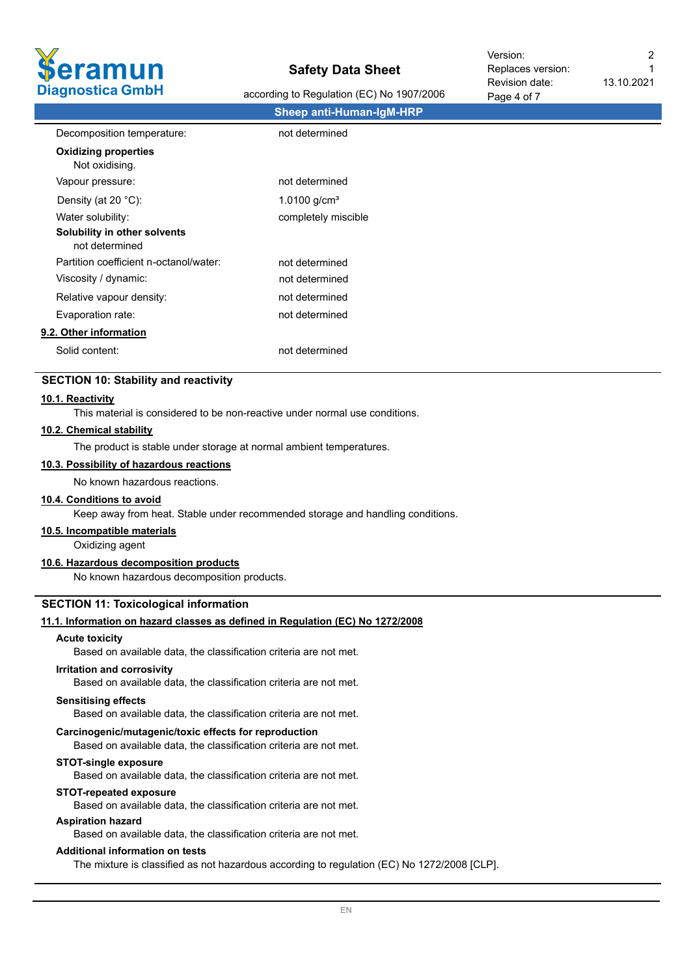

according to Regulation (EC) No 1907/2006

13.10.2021 1

|                                                | <b>Sheep anti-Human-IgM-HRP</b> |  |
|------------------------------------------------|---------------------------------|--|
| Decomposition temperature:                     | not determined                  |  |
| <b>Oxidizing properties</b><br>Not oxidising.  |                                 |  |
| Vapour pressure:                               | not determined                  |  |
| Density (at 20 °C):                            | 1.0100 $g/cm3$                  |  |
| Water solubility:                              | completely miscible             |  |
| Solubility in other solvents<br>not determined |                                 |  |
| Partition coefficient n-octanol/water:         | not determined                  |  |
| Viscosity / dynamic:                           | not determined                  |  |
| Relative vapour density:                       | not determined                  |  |
| Evaporation rate:                              | not determined                  |  |
| 9.2. Other information                         |                                 |  |
| Solid content:                                 | not determined                  |  |

## **SECTION 10: Stability and reactivity**

#### **10.1. Reactivity**

This material is considered to be non-reactive under normal use conditions.

#### **10.2. Chemical stability**

The product is stable under storage at normal ambient temperatures.

# **10.3. Possibility of hazardous reactions**

No known hazardous reactions.

#### **10.4. Conditions to avoid**

Keep away from heat. Stable under recommended storage and handling conditions.

# **10.5. Incompatible materials**

Oxidizing agent

# **10.6. Hazardous decomposition products**

No known hazardous decomposition products.

#### **SECTION 11: Toxicological information**

#### **11.1. Information on hazard classes as defined in Regulation (EC) No 1272/2008**

#### **Acute toxicity**

Based on available data, the classification criteria are not met.

#### **Irritation and corrosivity**

Based on available data, the classification criteria are not met.

#### **Sensitising effects**

Based on available data, the classification criteria are not met.

#### **Carcinogenic/mutagenic/toxic effects for reproduction**

Based on available data, the classification criteria are not met.

#### **STOT-single exposure**

Based on available data, the classification criteria are not met.

#### **STOT-repeated exposure**

Based on available data, the classification criteria are not met.

# **Aspiration hazard**

Based on available data, the classification criteria are not met.

#### **Additional information on tests**

The mixture is classified as not hazardous according to regulation (EC) No 1272/2008 [CLP].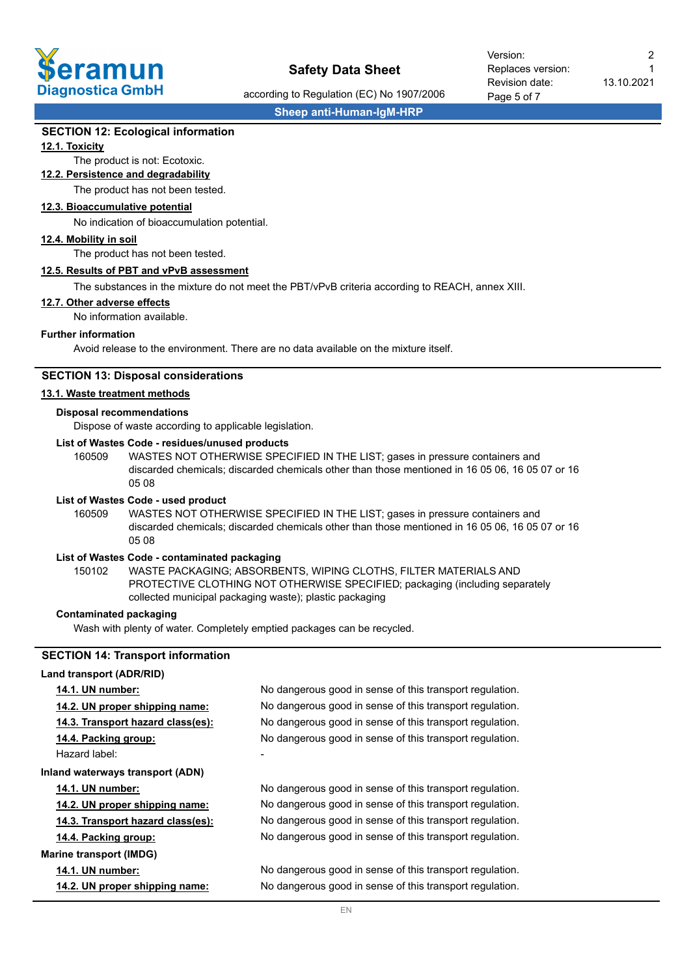

Page 5 of 7 Revision date: Replaces version: Version: 2

13.10.2021

1

according to Regulation (EC) No 1907/2006

**Sheep anti-Human-IgM-HRP**

## **SECTION 12: Ecological information**

### **12.1. Toxicity**

# The product is not: Ecotoxic.

**12.2. Persistence and degradability**

The product has not been tested.

# **12.3. Bioaccumulative potential**

No indication of bioaccumulation potential.

#### **12.4. Mobility in soil**

The product has not been tested.

### **12.5. Results of PBT and vPvB assessment**

The substances in the mixture do not meet the PBT/vPvB criteria according to REACH, annex XIII.

#### **12.7. Other adverse effects**

No information available.

#### **Further information**

Avoid release to the environment. There are no data available on the mixture itself.

### **SECTION 13: Disposal considerations**

## **13.1. Waste treatment methods**

#### **Disposal recommendations**

Dispose of waste according to applicable legislation.

## **List of Wastes Code - residues/unused products**

160509 WASTES NOT OTHERWISE SPECIFIED IN THE LIST; gases in pressure containers and discarded chemicals; discarded chemicals other than those mentioned in 16 05 06, 16 05 07 or 16 05 08

#### **List of Wastes Code - used product**

WASTES NOT OTHERWISE SPECIFIED IN THE LIST; gases in pressure containers and discarded chemicals; discarded chemicals other than those mentioned in 16 05 06, 16 05 07 or 16 05 08 160509

## **List of Wastes Code - contaminated packaging**

WASTE PACKAGING; ABSORBENTS, WIPING CLOTHS, FILTER MATERIALS AND PROTECTIVE CLOTHING NOT OTHERWISE SPECIFIED; packaging (including separately collected municipal packaging waste); plastic packaging 150102

#### **Contaminated packaging**

Wash with plenty of water. Completely emptied packages can be recycled.

# **SECTION 14: Transport information**

#### **Land transport (ADR/RID)**

| 14.1. UN number:                        | No dangerous good in sense of this transport regulation. |
|-----------------------------------------|----------------------------------------------------------|
| 14.2. UN proper shipping name:          | No dangerous good in sense of this transport regulation. |
| 14.3. Transport hazard class(es):       | No dangerous good in sense of this transport regulation. |
| 14.4. Packing group:                    | No dangerous good in sense of this transport regulation. |
| Hazard label:                           |                                                          |
| <b>Inland waterways transport (ADN)</b> |                                                          |
| <b>14.1. UN number:</b>                 | No dangerous good in sense of this transport regulation. |
| 14.2. UN proper shipping name:          | No dangerous good in sense of this transport regulation. |
| 14.3. Transport hazard class(es):       | No dangerous good in sense of this transport regulation. |
| 14.4. Packing group:                    | No dangerous good in sense of this transport regulation. |
| <b>Marine transport (IMDG)</b>          |                                                          |
| <b>14.1. UN number:</b>                 | No dangerous good in sense of this transport regulation. |
| 14.2. UN proper shipping name:          | No dangerous good in sense of this transport regulation. |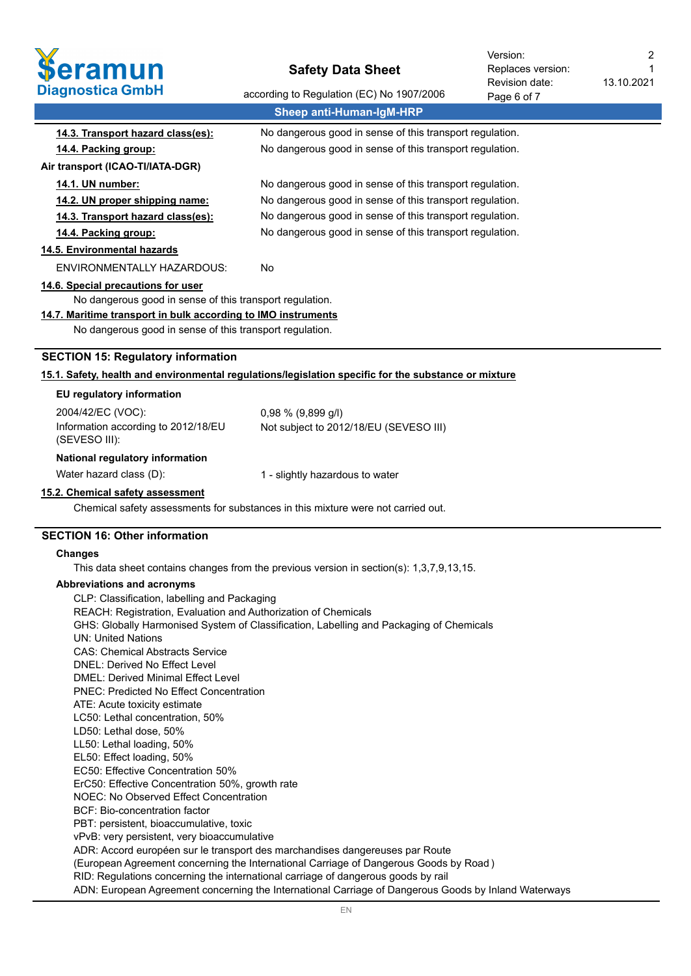

13.10.2021 Revision date: Replaces version: Version: 2

1

| <b>Diagnostica GmbH</b>                                        | according to Regulation (EC) No 1907/2006                                                            | Revision date:<br>Page 6 of 7 | 13.10.ZUZ1 |
|----------------------------------------------------------------|------------------------------------------------------------------------------------------------------|-------------------------------|------------|
|                                                                | <b>Sheep anti-Human-IgM-HRP</b>                                                                      |                               |            |
| 14.3. Transport hazard class(es):                              | No dangerous good in sense of this transport regulation.                                             |                               |            |
| 14.4. Packing group:                                           | No dangerous good in sense of this transport regulation.                                             |                               |            |
| Air transport (ICAO-TI/IATA-DGR)                               |                                                                                                      |                               |            |
| 14.1. UN number:                                               | No dangerous good in sense of this transport regulation.                                             |                               |            |
| 14.2. UN proper shipping name:                                 | No dangerous good in sense of this transport regulation.                                             |                               |            |
| 14.3. Transport hazard class(es):                              | No dangerous good in sense of this transport regulation.                                             |                               |            |
| 14.4. Packing group:                                           | No dangerous good in sense of this transport regulation.                                             |                               |            |
| 14.5. Environmental hazards                                    |                                                                                                      |                               |            |
| <b>ENVIRONMENTALLY HAZARDOUS:</b>                              | No                                                                                                   |                               |            |
| 14.6. Special precautions for user                             |                                                                                                      |                               |            |
| No dangerous good in sense of this transport regulation.       |                                                                                                      |                               |            |
| 14.7. Maritime transport in bulk according to IMO instruments  |                                                                                                      |                               |            |
| No dangerous good in sense of this transport regulation.       |                                                                                                      |                               |            |
| <b>SECTION 15: Regulatory information</b>                      |                                                                                                      |                               |            |
|                                                                | 15.1. Safety, health and environmental regulations/legislation specific for the substance or mixture |                               |            |
| EU regulatory information                                      |                                                                                                      |                               |            |
| 2004/42/EC (VOC):                                              | 0,98 % (9,899 g/l)                                                                                   |                               |            |
| Information according to 2012/18/EU                            | Not subject to 2012/18/EU (SEVESO III)                                                               |                               |            |
| (SEVESO III):                                                  |                                                                                                      |                               |            |
| National regulatory information                                |                                                                                                      |                               |            |
| Water hazard class (D):                                        | 1 - slightly hazardous to water                                                                      |                               |            |
| 15.2. Chemical safety assessment                               |                                                                                                      |                               |            |
|                                                                | Chemical safety assessments for substances in this mixture were not carried out.                     |                               |            |
| <b>SECTION 16: Other information</b>                           |                                                                                                      |                               |            |
| <b>Changes</b>                                                 |                                                                                                      |                               |            |
|                                                                | This data sheet contains changes from the previous version in section(s): $1,3,7,9,13,15$ .          |                               |            |
| Abbreviations and acronyms                                     |                                                                                                      |                               |            |
| CLP: Classification, labelling and Packaging                   |                                                                                                      |                               |            |
| REACH: Registration, Evaluation and Authorization of Chemicals |                                                                                                      |                               |            |
| <b>UN: United Nations</b>                                      | GHS: Globally Harmonised System of Classification, Labelling and Packaging of Chemicals              |                               |            |
| <b>CAS: Chemical Abstracts Service</b>                         |                                                                                                      |                               |            |

DNEL: Derived No Effect Level

DMEL: Derived Minimal Effect Level

PNEC: Predicted No Effect Concentration ATE: Acute toxicity estimate

LC50: Lethal concentration, 50%

LD50: Lethal dose, 50%

LL50: Lethal loading, 50%

EL50: Effect loading, 50%

EC50: Effective Concentration 50%

ErC50: Effective Concentration 50%, growth rate

NOEC: No Observed Effect Concentration

BCF: Bio-concentration factor

PBT: persistent, bioaccumulative, toxic

vPvB: very persistent, very bioaccumulative

ADR: Accord européen sur le transport des marchandises dangereuses par Route

(European Agreement concerning the International Carriage of Dangerous Goods by Road )

RID: Regulations concerning the international carriage of dangerous goods by rail

ADN: European Agreement concerning the International Carriage of Dangerous Goods by Inland Waterways